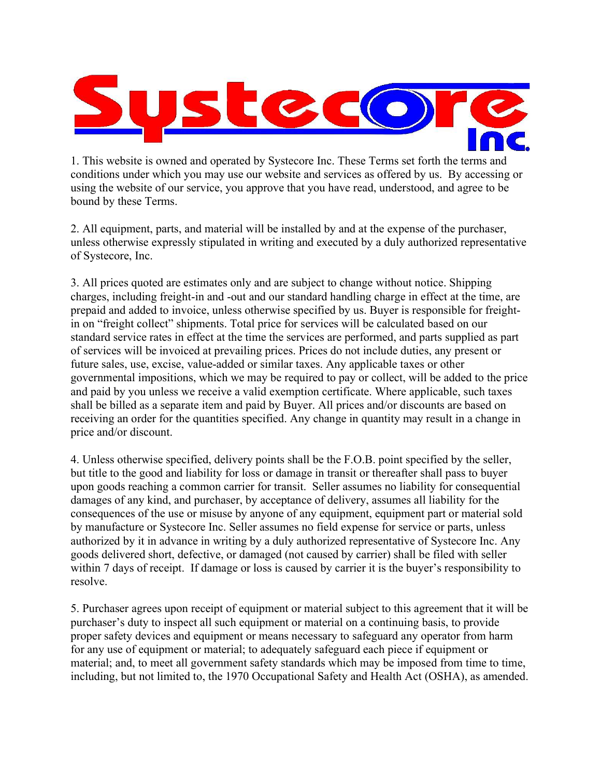

1. This website is owned and operated by Systecore Inc. These Terms set forth the terms and conditions under which you may use our website and services as offered by us. By accessing or using the website of our service, you approve that you have read, understood, and agree to be bound by these Terms.

2. All equipment, parts, and material will be installed by and at the expense of the purchaser, unless otherwise expressly stipulated in writing and executed by a duly authorized representative of Systecore, Inc.

3. All prices quoted are estimates only and are subject to change without notice. Shipping charges, including freight-in and -out and our standard handling charge in effect at the time, are prepaid and added to invoice, unless otherwise specified by us. Buyer is responsible for freightin on "freight collect" shipments. Total price for services will be calculated based on our standard service rates in effect at the time the services are performed, and parts supplied as part of services will be invoiced at prevailing prices. Prices do not include duties, any present or future sales, use, excise, value-added or similar taxes. Any applicable taxes or other governmental impositions, which we may be required to pay or collect, will be added to the price and paid by you unless we receive a valid exemption certificate. Where applicable, such taxes shall be billed as a separate item and paid by Buyer. All prices and/or discounts are based on receiving an order for the quantities specified. Any change in quantity may result in a change in price and/or discount.

4. Unless otherwise specified, delivery points shall be the F.O.B. point specified by the seller, but title to the good and liability for loss or damage in transit or thereafter shall pass to buyer upon goods reaching a common carrier for transit. Seller assumes no liability for consequential damages of any kind, and purchaser, by acceptance of delivery, assumes all liability for the consequences of the use or misuse by anyone of any equipment, equipment part or material sold by manufacture or Systecore Inc. Seller assumes no field expense for service or parts, unless authorized by it in advance in writing by a duly authorized representative of Systecore Inc. Any goods delivered short, defective, or damaged (not caused by carrier) shall be filed with seller within 7 days of receipt. If damage or loss is caused by carrier it is the buyer's responsibility to resolve.

5. Purchaser agrees upon receipt of equipment or material subject to this agreement that it will be purchaser's duty to inspect all such equipment or material on a continuing basis, to provide proper safety devices and equipment or means necessary to safeguard any operator from harm for any use of equipment or material; to adequately safeguard each piece if equipment or material; and, to meet all government safety standards which may be imposed from time to time, including, but not limited to, the 1970 Occupational Safety and Health Act (OSHA), as amended.